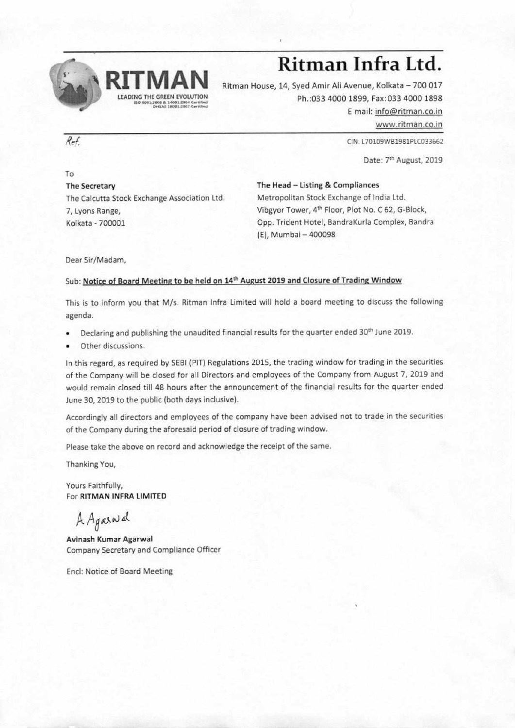

## **Ritman Infra Ltd.**

Ritman House, 14, Syed Amir Ali Avenue, Kolkata — 700 017 Ph.:033 4000 1899, Fax:033 4000 1898 E mail: info@ritman.co.in

www.ritman.co.in

**Rei CIN: L70109WB1981PLC033662** 

Date: 7th August, 2019

The Secretary The Calcutta Stock Exchange Association Ltd. 7, Lyons Range, Kolkata - 700001

**The Head — Listing & Compliances** 

Metropolitan Stock Exchange of India Ltd. Vibgyor Tower, 4th Floor, Plot No. C 62, G-Block, Opp. Trident Hotel, BandraKurla Complex, Bandra (E), Mumbai — 400098

Dear Sir/Madam,

## Sub: Notice of Board Meeting to be held on 14<sup>th</sup> August 2019 and Closure of Trading Window

This is to inform you that M/s. Ritman Infra Limited will hold a board meeting to discuss the following agenda.

- Declaring and publishing the unaudited financial results for the quarter ended 30<sup>th</sup> June 2019.
- Other discussions.

In this regard, as required by SEBI (PIT) Regulations 2015, the trading window for trading in the securities of the Company will be closed for all Directors and employees of the Company from August 7, 2019 and would remain closed till 48 hours after the announcement of the financial results for the quarter ended June 30, 2019 to the public (both days inclusive).

Accordingly all directors and employees of the company have been advised not to trade in the securities of the Company during the aforesaid period of closure of trading window.

Please take the above on record and acknowledge the receipt of the same.

Thanking You,

Yours Faithfully, For **RITMAN INFRA LIMITED** 

A Againal

**Avinash Kumar Agarwal**  Company Secretary and Compliance Officer

Encl: Notice of Board Meeting

To